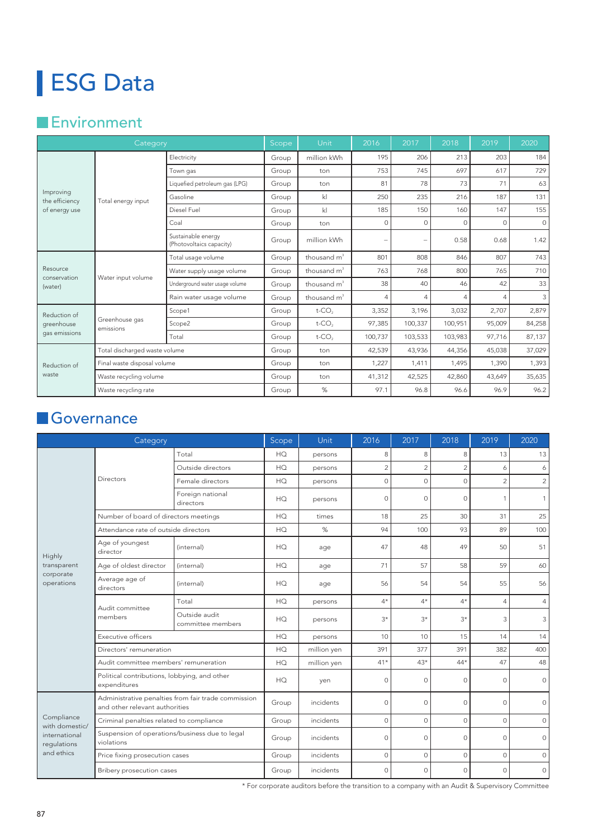## ESG Data

## **Environment**

| Category                                     |                               | Scope                                                | Unit  | 2016                           | 2017     | 2018                     | 2019           | 2020           |                         |
|----------------------------------------------|-------------------------------|------------------------------------------------------|-------|--------------------------------|----------|--------------------------|----------------|----------------|-------------------------|
| Improving<br>the efficiency<br>of energy use | Total energy input            | Electricity                                          | Group | million kWh                    | 195      | 206                      | 213            | 203            | 184                     |
|                                              |                               | Town gas                                             | Group | ton                            | 753      | 745                      | 697            | 617            | 729                     |
|                                              |                               | Liquefied petroleum gas (LPG)                        | Group | ton                            | 81       | 78                       | 73             | 71             | 63                      |
|                                              |                               | Gasoline                                             | Group | k                              |          | 235                      | 216            | 187            | 131                     |
|                                              |                               | Diesel Fuel                                          | Group | $\mathsf{kl}$                  | 185      | 150                      | 160            | 147            | 155                     |
|                                              |                               | Coal                                                 | Group | ton                            | $\Omega$ | $\circ$                  | $\Omega$       | $\circ$        | $\circ$                 |
|                                              |                               | Sustainable energy<br>(Photovoltaics capacity)       | Group | million kWh                    |          | $\overline{\phantom{a}}$ | 0.58           | 0.68           | 1.42                    |
| Resource<br>conservation<br>(water)          | Water input volume            | Total usage volume                                   | Group | thousand m <sup>3</sup><br>801 |          | 808                      | 846            | 807            | 743                     |
|                                              |                               | Water supply usage volume                            | Group | thousand $m^3$                 | 763      | 768                      | 800            | 765            | 710                     |
|                                              |                               | Underground water usage volume                       | Group | thousand $m^3$                 | 38       | 40                       | 46             | 42             | 33                      |
|                                              |                               | Rain water usage volume<br>Scope1<br>Scope2<br>Total | Group | thousand $m^3$                 | 4        | $\overline{4}$           | $\overline{4}$ | $\overline{4}$ | $\overline{\mathbf{3}}$ |
| Reduction of<br>greenhouse<br>gas emissions  | Greenhouse gas<br>emissions   |                                                      | Group | $t$ -CO <sub>2</sub>           | 3,352    | 3,196                    | 3,032          | 2,707          | 2,879                   |
|                                              |                               |                                                      | Group | $t$ -CO <sub>2</sub>           | 97,385   | 100,337                  | 100,951        | 95,009         | 84,258                  |
|                                              |                               |                                                      | Group | $t$ -CO <sub>2</sub>           | 100,737  | 103,533                  | 103,983        | 97,716         | 87,137                  |
|                                              | Total discharged waste volume |                                                      | Group | ton                            | 42,539   | 43,936                   | 44,356         | 45,038         | 37,029                  |
| Reduction of<br>waste                        | Final waste disposal volume   |                                                      | Group | ton                            | 1,227    | 1,411                    | 1,495          | 1,390          | 1,393                   |
|                                              | Waste recycling volume        |                                                      | Group | ton                            | 41,312   | 42,525                   | 42,860         | 43,649         | 35,635                  |
|                                              | Waste recycling rate          |                                                      | Group | %                              | 97.1     | 96.8                     | 96.6           | 96.9           | 96.2                    |

## **Governance**

|                                                                            | Category                                                                              | Scope                              |               | Unit        | 2016           | 2017        | 2018           | 2019           | 2020           |
|----------------------------------------------------------------------------|---------------------------------------------------------------------------------------|------------------------------------|---------------|-------------|----------------|-------------|----------------|----------------|----------------|
|                                                                            | Directors                                                                             | Total                              | HQ            | persons     | 8              | 8           | 8              | 13             | 13             |
|                                                                            |                                                                                       | Outside directors                  | HQ<br>persons |             | $\overline{2}$ | 2           | $\overline{2}$ | 6              | 6              |
|                                                                            |                                                                                       | Female directors                   | HQ            | persons     | $\circ$        | $\circ$     | $\circ$        | $\overline{2}$ | $\overline{2}$ |
| Highly<br>transparent<br>corporate<br>operations                           |                                                                                       | Foreign national<br>directors      | HQ            | persons     | $\Omega$       | $\Omega$    | $\circ$        | 1              | $\mathbf{1}$   |
|                                                                            | Number of board of directors meetings                                                 |                                    | HQ            | times       | 18             | 25          | 30             | 31             | 25             |
|                                                                            | Attendance rate of outside directors                                                  |                                    | HQ            | %           | 94             | 100         | 93             | 89             | 100            |
|                                                                            | Age of youngest<br>director                                                           | (internal)                         | HQ            | age         | 47             | 48          | 49             | 50             | 51             |
|                                                                            | Age of oldest director                                                                | (internal)                         | HQ            | age         | 71             | 57          | 58             | 59             | 60             |
|                                                                            | Average age of<br>directors                                                           | (internal)                         | HQ            | age         | 56             | 54          | 54             | 55             | 56             |
|                                                                            | Audit committee<br>members                                                            | Total                              | HQ            | persons     | $4*$           | $4^{\star}$ | $4*$           | 4              | $\overline{4}$ |
|                                                                            |                                                                                       | Outside audit<br>committee members | HQ            | persons     | $3*$           | $3*$        | $3*$           | 3              | 3              |
|                                                                            | Executive officers                                                                    |                                    | HQ            | persons     | 10             | 10          | 15             | 14             | 14             |
|                                                                            | Directors' remuneration                                                               |                                    | HQ            | million yen | 391            | 377         | 391            | 382            | 400            |
|                                                                            | Audit committee members' remuneration                                                 |                                    | HQ            | million yen | $41*$          | $43*$       | 44*            | 47             | 48             |
|                                                                            | Political contributions, lobbying, and other<br>expenditures                          |                                    | HQ            | yen         | $\circ$        | $\circ$     | $\circ$        | $\circ$        | $\circ$        |
| Compliance<br>with domestic/<br>international<br>regulations<br>and ethics | Administrative penalties from fair trade commission<br>and other relevant authorities |                                    | Group         | incidents   | $\circ$        | $\circ$     | $\circ$        | $\circ$        | 0              |
|                                                                            | Criminal penalties related to compliance                                              |                                    | Group         | incidents   | $\Omega$       | $\circ$     | $\circ$        | $\circ$        | $\circ$        |
|                                                                            | Suspension of operations/business due to legal<br>violations                          |                                    | Group         | incidents   | $\Omega$       | $\Omega$    | $\Omega$       | $\Omega$       | $\circ$        |
|                                                                            | Price fixing prosecution cases                                                        |                                    | Group         | incidents   | $\circ$        | $\circ$     | $\circ$        | $\circ$        | $\circ$        |
|                                                                            | Bribery prosecution cases                                                             |                                    | Group         | incidents   | $\Omega$       | $\Omega$    | $\circ$        | $\Omega$       | $\circ$        |

\* For corporate auditors before the transition to a company with an Audit & Supervisory Committee